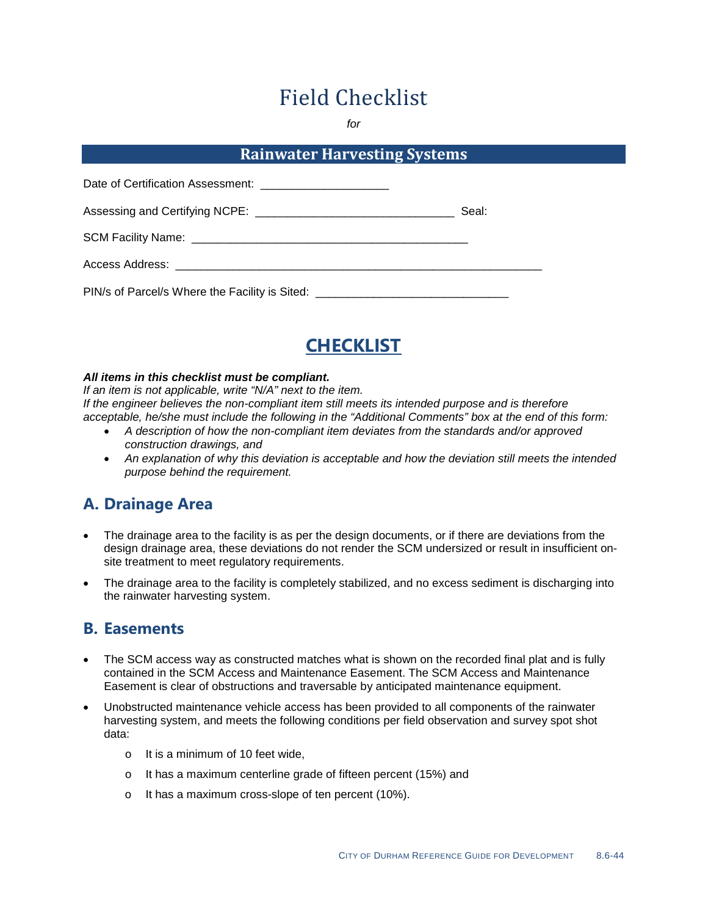# Field Checklist

*for*

### **Rainwater Harvesting Systems**

| Date of Certification Assessment: ___________________________                    |       |
|----------------------------------------------------------------------------------|-------|
|                                                                                  | Seal: |
|                                                                                  |       |
| Access Address: _______________________________                                  |       |
| PIN/s of Parcel/s Where the Facility is Sited: _________________________________ |       |



#### *All items in this checklist must be compliant.*

*If an item is not applicable, write "N/A" next to the item. If the engineer believes the non-compliant item still meets its intended purpose and is therefore acceptable, he/she must include the following in the "Additional Comments" box at the end of this form:*

- *A description of how the non-compliant item deviates from the standards and/or approved construction drawings, and*
- *An explanation of why this deviation is acceptable and how the deviation still meets the intended purpose behind the requirement.*

## **A. Drainage Area**

- The drainage area to the facility is as per the design documents, or if there are deviations from the design drainage area, these deviations do not render the SCM undersized or result in insufficient onsite treatment to meet regulatory requirements.
- The drainage area to the facility is completely stabilized, and no excess sediment is discharging into the rainwater harvesting system.

#### **B. Easements**

- The SCM access way as constructed matches what is shown on the recorded final plat and is fully contained in the SCM Access and Maintenance Easement. The SCM Access and Maintenance Easement is clear of obstructions and traversable by anticipated maintenance equipment.
- Unobstructed maintenance vehicle access has been provided to all components of the rainwater harvesting system, and meets the following conditions per field observation and survey spot shot data:
	- o It is a minimum of 10 feet wide,
	- o It has a maximum centerline grade of fifteen percent (15%) and
	- o It has a maximum cross-slope of ten percent (10%).